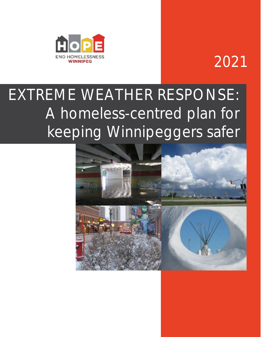

## 2021

# EXTREME WEATHER RESPONSE: A homeless-centred plan for keeping Winnipeggers safer

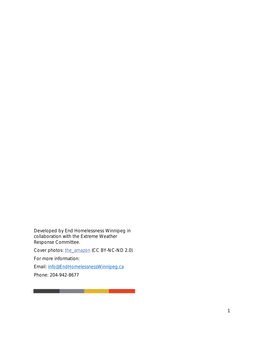Developed by End Homelessness Winnipeg in collaboration with the Extreme Weather Response Committee.

Cover photos: the amazon (CC BY-NC-ND 2.0)

<u> The Common Section of the Common Section of the Common Section of the Common Section of the Common Section of</u>

For more information:

Email: [info@EndHomelessnessWinnipeg.ca](mailto:info@EndHomelessnessWinnipeg.ca)

Phone: 204-942-8677

\_\_\_\_\_\_\_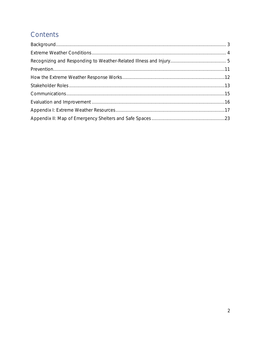## Contents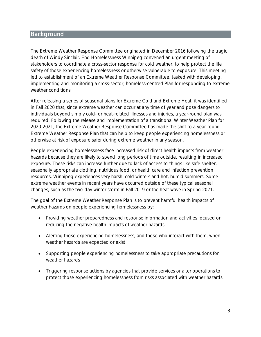## <span id="page-3-0"></span>**Background**

The Extreme Weather Response Committee originated in December 2016 following the tragic death of Windy Sinclair. End Homelessness Winnipeg convened an urgent meeting of stakeholders to coordinate a cross-sector response for cold weather, to help protect the life safety of those experiencing homelessness or otherwise vulnerable to exposure. This meeting led to establishment of an Extreme Weather Response Committee, tasked with developing, implementing and monitoring a cross-sector, homeless-centred Plan for responding to extreme weather conditions.

After releasing a series of seasonal plans for Extreme Cold and Extreme Heat, it was identified in Fall 2020 that, since extreme weather can occur at any time of year and pose dangers to individuals beyond simply cold- or heat-related illnesses and injuries, a year-round plan was required. Following the release and implementation of a transitional Winter Weather Plan for 2020-2021, the Extreme Weather Response Committee has made the shift to a year-round Extreme Weather Response Plan that can help to keep people experiencing homelessness or otherwise at risk of exposure safer during extreme weather in any season.

People experiencing homelessness face increased risk of direct health impacts from weather hazards because they are likely to spend long periods of time outside, resulting in increased exposure. These risks can increase further due to lack of access to things like safe shelter, seasonally appropriate clothing, nutritious food, or health care and infection prevention resources. Winnipeg experiences very harsh, cold winters and hot, humid summers. Some extreme weather events in recent years have occurred outside of these typical seasonal changes, such as the two-day winter storm in Fall 2019 or the heat wave in Spring 2021.

The goal of the Extreme Weather Response Plan is to prevent harmful health impacts of weather hazards on people experiencing homelessness by:

- Providing weather preparedness and response information and activities focused on reducing the negative health impacts of weather hazards
- Alerting those experiencing homelessness, and those who interact with them, when weather hazards are expected or exist
- Supporting people experiencing homelessness to take appropriate precautions for weather hazards
- Triggering response actions by agencies that provide services or alter operations to protect those experiencing homelessness from risks associated with weather hazards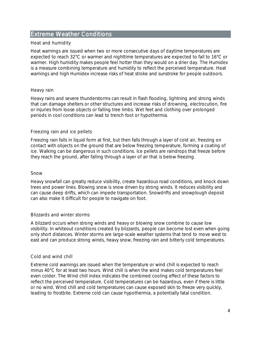## <span id="page-4-0"></span>Extreme Weather Conditions

#### Heat and humidity

Heat warnings are issued when two or more consecutive days of daytime temperatures are expected to reach 32°C or warmer and nighttime temperatures are expected to fall to 16°C or warmer. High humidity makes people feel hotter than they would on a drier day. The Humidex is a measure combining temperature and humidity to reflect the perceived temperature. Heat warnings and high Humidex increase risks of heat stroke and sunstroke for people outdoors.

#### Heavy rain

Heavy rains and severe thunderstorms can result in flash flooding, lightning and strong winds that can damage shelters or other structures and increase risks of drowning, electrocution, fire or injuries from loose objects or falling tree limbs. Wet feet and clothing over prolonged periods in cool conditions can lead to trench foot or hypothermia.

#### Freezing rain and ice pellets

Freezing rain falls in liquid form at first, but then falls through a layer of cold air, freezing on contact with objects on the ground that are below freezing temperature, forming a coating of ice. Walking can be dangerous in such conditions. Ice pellets are raindrops that freeze before they reach the ground, after falling through a layer of air that is below freezing.

#### Snow

Heavy snowfall can greatly reduce visibility, create hazardous road conditions, and knock down trees and power lines. Blowing snow is snow driven by strong winds. It reduces visibility and can cause deep drifts, which can impede transportation. Snowdrifts and snowplough deposit can also make it difficult for people to navigate on foot.

#### Blizzards and winter storms

A blizzard occurs when strong winds and heavy or blowing snow combine to cause low visibility. In whiteout conditions created by blizzards, people can become lost even when going only short distances. Winter storms are large-scale weather systems that tend to move west to east and can produce strong winds, heavy snow, freezing rain and bitterly cold temperatures.

#### Cold and wind chill

Extreme cold warnings are issued when the temperature or wind chill is expected to reach minus 40°C for at least two hours. Wind chill is when the wind makes cold temperatures feel even colder. The Wind chill index indicates the combined cooling effect of these factors to reflect the perceived temperature. Cold temperatures can be hazardous, even if there is little or no wind. Wind chill and cold temperatures can cause exposed skin to freeze very quickly, leading to frostbite. Extreme cold can cause hypothermia, a potentially fatal condition.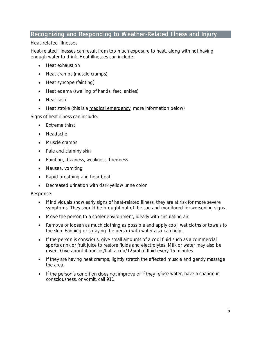## <span id="page-5-0"></span>Recognizing and Responding to Weather-Related Illness and Injury

#### Heat-related illnesses

Heat-related illnesses can result from too much exposure to heat, along with not having enough water to drink. Heat illnesses can include:

- Heat exhaustion
- Heat cramps (muscle cramps)
- Heat syncope (fainting)
- Heat edema (swelling of hands, feet, ankles)
- Heat rash
- Heat stroke (this is a medical emergency, more information below)

Signs of heat illness can include:

- Extreme thirst
- Headache
- Muscle cramps
- Pale and clammy skin
- Fainting, dizziness, weakness, tiredness
- Nausea, vomiting
- Rapid breathing and heartbeat
- Decreased urination with dark yellow urine color

- If individuals show early signs of heat-related illness, they are at risk for more severe symptoms. They should be brought out of the sun and monitored for worsening signs.
- Move the person to a cooler environment, ideally with circulating air.
- Remove or loosen as much clothing as possible and apply cool, wet cloths or towels to the skin. Fanning or spraying the person with water also can help.
- If the person is conscious, give small amounts of a cool fluid such as a commercial sports drink or fruit juice to restore fluids and electrolytes. Milk or water may also be given. Give about 4 ounces/half a cup/125ml of fluid every 15 minutes.
- If they are having heat cramps, lightly stretch the affected muscle and gently massage the area.
- If the person's condition does not improve or if they refuse water, have a change in consciousness, or vomit, call 911.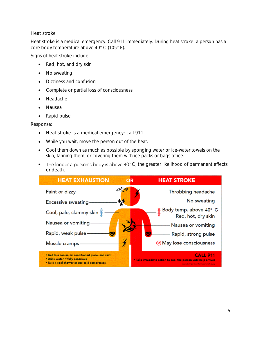#### Heat stroke

Heat stroke is a medical emergency. Call 911 immediately. During heat stroke, a person has a core body temperature above 40° C (105° F).

Signs of heat stroke include:

- Red, hot, and dry skin
- No sweating
- Dizziness and confusion
- Complete or partial loss of consciousness
- Headache
- Nausea
- Rapid pulse

- Heat stroke is a medical emergency: call 911
- While you wait, move the person out of the heat.
- Cool them down as much as possible by sponging water or ice-water towels on the skin, fanning them, or covering them with ice packs or bags of ice.
- The longer a person's body is above  $40^{\circ}$  C, the greater likelihood of permanent effects or death.

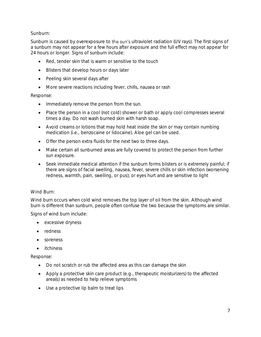Sunburn:

Sunburn is caused by overexposure to the sun's ultraviolet radiation (UV rays). The first signs of a sunburn may not appear for a few hours after exposure and the full effect may not appear for 24 hours or longer. Signs of sunburn include:

- Red, tender skin that is warm or sensitive to the touch
- Blisters that develop hours or days later
- Peeling skin several days after
- More severe reactions including fever, chills, nausea or rash

Response:

- Immediately remove the person from the sun.
- Place the person in a cool (not cold) shower or bath or apply cool compresses several times a day. Do not wash burned skin with harsh soap.
- Avoid creams or lotions that may hold heat inside the skin or may contain numbing medication (i.e., benzocaine or lidocaine). Aloe gel can be used.
- Offer the person extra fluids for the next two to three days.
- Make certain all sunburned areas are fully covered to protect the person from further sun exposure.
- Seek immediate medical attention if the sunburn forms blisters or is extremely painful; if there are signs of facial swelling, nausea, fever, severe chills or skin infection (worsening redness, warmth, pain, swelling, or pus); or eyes hurt and are sensitive to light

#### Wind Burn:

Wind burn occurs when cold wind removes the top layer of oil from the skin. Although wind burn is different than sunburn, people often confuse the two because the symptoms are similar.

Signs of wind burn include:

- excessive dryness
- redness
- soreness
- itchiness

- Do not scratch or rub the affected area as this can damage the skin
- Apply a protective skin care product (e.g., therapeutic moisturizers) to the affected area(s) as needed to help relieve symptoms
- Use a protective lip balm to treat lips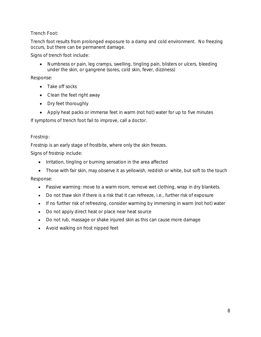### Trench Foot:

Trench foot results from prolonged exposure to a damp and cold environment. No freezing occurs, but there can be permanent damage.

Signs of trench foot include:

• Numbness or pain, leg cramps, swelling, tingling pain, blisters or ulcers, bleeding under the skin, or gangrene (sores, cold skin, fever, dizziness)

Response:

- Take off socks
- Clean the feet right away
- Dry feet thoroughly
- Apply heat packs or immerse feet in warm (not hot) water for up to five minutes

If symptoms of trench foot fail to improve, call a doctor.

### Frostnip:

Frostnip is an early stage of frostbite, where only the skin freezes.

Signs of frostnip include:

- Irritation, tingling or burning sensation in the area affected
- Those with fair skin, may observe it as yellowish, reddish or white, but soft to the touch Response:
	- Passive warming: move to a warm room, remove wet clothing, wrap in dry blankets.
	- Do not thaw skin if there is a risk that it can refreeze, i.e., further risk of exposure
	- If no further risk of refreezing, consider warming by immersing in warm (not hot) water
	- Do not apply direct heat or place near heat source
	- Do not rub, massage or shake injured skin as this can cause more damage
	- Avoid walking on frost nipped feet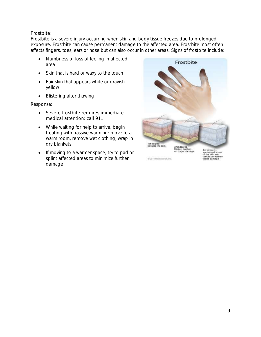Frostbite:

Frostbite is a severe injury occurring when skin and body tissue freezes due to prolonged exposure. Frostbite can cause permanent damage to the affected area. Frostbite most often affects fingers, toes, ears or nose but can also occur in other areas. Signs of frostbite include:

- Numbness or loss of feeling in affected area
- Skin that is hard or waxy to the touch
- Fair skin that appears white or grayishyellow
- Blistering after thawing

Response:

- Severe frostbite requires immediate medical attention: call 911
- While waiting for help to arrive, begin treating with passive warming: move to a warm room, remove wet clothing, wrap in dry blankets
- If moving to a warmer space, try to pad or splint affected areas to minimize further damage



@ 2014 Medicinities, Inc.

3rd degree<br>Involves all layers<br>of the skin and<br>causes permanent<br>tissue damage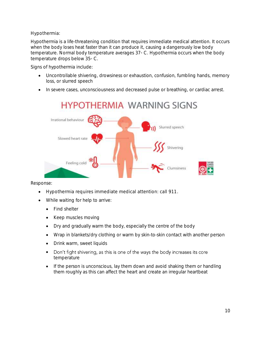Hypothermia:

Hypothermia is a life-threatening condition that requires immediate medical attention. It occurs when the body loses heat faster than it can produce it, causing a dangerously low body temperature. Normal body temperature averages 37◦ C. Hypothermia occurs when the body temperature drops below 35◦ C.

Signs of hypothermia include:

- Uncontrollable shivering, drowsiness or exhaustion, confusion, fumbling hands, memory loss, or slurred speech
- In severe cases, unconsciousness and decreased pulse or breathing, or cardiac arrest.



- Hypothermia requires immediate medical attention: call 911.
- While waiting for help to arrive:
	- Find shelter
	- Keep muscles moving
	- Dry and gradually warm the body, especially the centre of the body
	- Wrap in blankets/dry clothing or warm by skin-to-skin contact with another person
	- Drink warm, sweet liquids
	- Don't fight shivering, as this is one of the ways the body increases its core temperature
	- If the person is unconscious, lay them down and avoid shaking them or handling them roughly as this can affect the heart and create an irregular heartbeat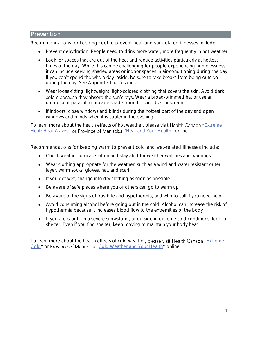## <span id="page-11-0"></span>Prevention

Recommendations for keeping cool to prevent heat and sun-related illnesses include:

- Prevent dehydration. People need to drink more water, more frequently in hot weather.
- Look for spaces that are out of the heat and reduce activities particularly at hottest times of the day. While this can be challenging for people experiencing homelessness, it can include seeking shaded areas or indoor spaces in air-conditioning during the day.<br>If you can't spend the whole day inside, be sure to take breaks from being outside during the day. See Appendix I for resources.
- Wear loose-fitting, lightweight, light-colored clothing that covers the skin. Avoid dark colors because they absorb the sun's rays. Wear a broad-brimmed hat or use an umbrella or parasol to provide shade from the sun. Use sunscreen.
- If indoors, close windows and blinds during the hottest part of the day and open windows and blinds when it is cooler in the evening.

To learn more about the health effects of hot weather, please visit Health Canada "Extreme [Heat: Heat Waves](https://www.canada.ca/en/health-canada/services/sun-safety/extreme-heat-heat-waves.html)" or Province of Manitoba "[Heat and Your Health](https://www.gov.mb.ca/health/publichealth/environmentalhealth/heat.html)" online.

Recommendations for keeping warm to prevent cold and wet-related illnesses include:

- Check weather forecasts often and stay alert for weather watches and warnings
- Wear clothing appropriate for the weather, such as a wind and water resistant outer layer, warm socks, gloves, hat, and scarf
- If you get wet, change into dry clothing as soon as possible
- Be aware of safe places where you or others can go to warm up
- Be aware of the signs of frostbite and hypothermia, and who to call if you need help
- Avoid consuming alcohol before going out in the cold. Alcohol can increase the risk of hypothermia because it increases blood flow to the extremities of the body
- If you are caught in a severe snowstorm, or outside in extreme cold conditions, look for shelter. Even if you find shelter, keep moving to maintain your body heat

To learn more about the health effects of cold weather, please visit Health Canada "Extreme [Cold](https://www.canada.ca/en/health-canada/services/healthy-living/your-health/environment/extreme-cold.html)" or Province of Manitoba "[Cold Weather and Your Health](https://www.gov.mb.ca/health/publichealth/environmentalhealth/cold.html)" online.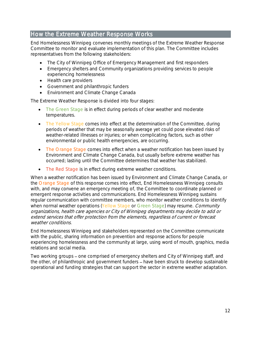## <span id="page-12-0"></span>How the Extreme Weather Response Works

End Homelessness Winnipeg convenes monthly meetings of the Extreme Weather Response Committee to monitor and evaluate implementation of this plan. The Committee includes representatives from the following stakeholders:

- The City of Winnipeg Office of Emergency Management and first responders
- Emergency shelters and Community organizations providing services to people experiencing homelessness
- Health care providers
- Government and philanthropic funders
- Environment and Climate Change Canada

The Extreme Weather Response is divided into four stages:

- The Green Stage is in effect during periods of clear weather and moderate temperatures.
- The Yellow Stage comes into effect at the determination of the Committee, during periods of weather that may be seasonally average yet could pose elevated risks of weather-related illnesses or injuries; or when complicating factors, such as other environmental or public health emergencies, are occurring.
- The Orange Stage comes into effect when a weather notification has been issued by Environment and Climate Change Canada, but usually before extreme weather has occurred; lasting until the Committee determines that weather has stabilized.
- The Red Stage is in effect during extreme weather conditions.

When a weather notification has been issued by Environment and Climate Change Canada, or the Orange Stage of this response comes into effect, End Homelessness Winnipeg consults with, and may convene an emergency meeting of, the Committee to coordinate planned or emergent response activities and communications. End Homelessness Winnipeg sustains regular communication with committee members, who monitor weather conditions to identify when normal weather operations (Yellow Stage or Green Stage) may resume. Community organizations, health care agencies or City of Winnipeg departments may decide to add or extend services that offer protection from the elements, regardless of current or forecast weather conditions.

End Homelessness Winnipeg and stakeholders represented on the Committee communicate with the public, sharing information on prevention and response actions for people experiencing homelessness and the community at large, using word of mouth, graphics, media relations and social media.

Two working groups – one comprised of emergency shelters and City of Winnipeg staff, and the other, of philanthropic and government funders – have been struck to develop sustainable operational and funding strategies that can support the sector in extreme weather adaptation.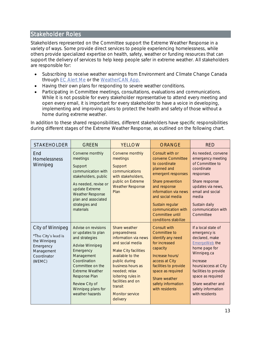## <span id="page-13-0"></span>Stakeholder Roles

Stakeholders represented on the Committee support the Extreme Weather Response in a variety of ways. Some provide direct services to people experiencing homelessness, while others provide specialized expertise on health, safety, weather or funding resources that can support the delivery of services to help keep people safer in extreme weather. All stakeholders are responsible for:

- Subscribing to receive weather warnings from Environment and Climate Change Canada through [EC Alert Me](https://ecalertme.weather.gc.ca/) or the [WeatherCAN App.](https://www.canada.ca/en/environment-climate-change/services/weather-general-tools-resources/weathercan.html)
- Having their own plans for responding to severe weather conditions.
- Participating in Committee meetings, consultations, evaluations and communications. While it is not possible for every stakeholder representative to attend every meeting and open every email, it is important for every stakeholder to have a voice in developing, implementing and improving plans to protect the health and safety of those without a home during extreme weather.

In addition to these shared responsibilities, different stakeholders have specific responsibilities during different stages of the Extreme Weather Response, as outlined on the following chart.

| <b>STAKEHOLDER</b>                                                                                          | <b>GREEN</b>                                                                                                                                                                                                                                        | <b>YELLOW</b>                                                                                                                                                                                                                                                            | <b>ORANGE</b>                                                                                                                                                                                                                                                  | <b>RED</b>                                                                                                                                                                                                                                            |
|-------------------------------------------------------------------------------------------------------------|-----------------------------------------------------------------------------------------------------------------------------------------------------------------------------------------------------------------------------------------------------|--------------------------------------------------------------------------------------------------------------------------------------------------------------------------------------------------------------------------------------------------------------------------|----------------------------------------------------------------------------------------------------------------------------------------------------------------------------------------------------------------------------------------------------------------|-------------------------------------------------------------------------------------------------------------------------------------------------------------------------------------------------------------------------------------------------------|
| End<br>Homelessness<br>Winnipeg                                                                             | Convene monthly<br>meetings<br>Support<br>communication with<br>stakeholders, public<br>As needed, revise or<br>update Extreme<br>Weather Response<br>plan and associated<br>strategies and<br>materials                                            | Convene monthly<br>meetings<br>Support<br>communications<br>with stakeholders,<br>public on Extreme<br><b>Weather Response</b><br>Plan                                                                                                                                   | Consult with or<br>convene Committee<br>to coordinate<br>planned and<br>emergent responses<br>Share prevention<br>and response<br>information via news<br>and social media<br>Sustain regular<br>communication with<br>Committee until<br>conditions stabilize | As needed, convene<br>emergency meeting<br>of Committee to<br>coordinate<br>responses<br>Share response<br>updates via news,<br>email and social<br>media<br>Sustain daily<br>communication with<br>Committee                                         |
| City of Winnipeg<br>*The City's lead is<br>the Winnipeg<br>Emergency<br>Management<br>Coordinator<br>(WEMC) | Advise on revisions<br>or updates to plan<br>and strategies<br>Advise Winnipeg<br>Emergency<br>Management<br>Coordination<br>Committee on the<br><b>Extreme Weather</b><br>Response Plan<br>Review City of<br>Winnipeg plans for<br>weather hazards | Share weather<br>preparedness<br>information via news<br>and social media<br>Make City facilities<br>available to the<br>public during<br>business hours as<br>needed; relax<br>loitering rules in<br>facilities and on<br>transit<br><b>Monitor service</b><br>delivery | Consult with<br>Committee to<br>identify any need<br>for increased<br>capacity<br>Increase hours/<br>access at City<br>facilities to provide<br>space as required<br>Share weather<br>safety information<br>with residents                                     | If a local state of<br>emergency is<br>declared, make<br>EmergeWeb the<br>home page for<br>Winnipeg.ca<br>Increase<br>hours/access at City<br>facilities to provide<br>space as required<br>Share weather and<br>safety information<br>with residents |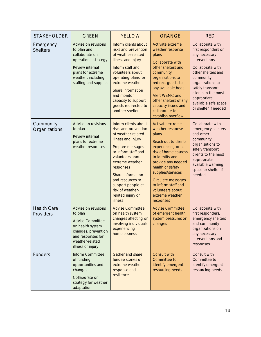| <b>STAKEHOLDER</b>              | <b>GREEN</b>                                                                                                                                                        | <b>YELLOW</b>                                                                                                                                                                                                                                                                                             | ORANGE                                                                                                                                                                                                                                                                                                 | <b>RED</b>                                                                                                                                                                                                                                                     |
|---------------------------------|---------------------------------------------------------------------------------------------------------------------------------------------------------------------|-----------------------------------------------------------------------------------------------------------------------------------------------------------------------------------------------------------------------------------------------------------------------------------------------------------|--------------------------------------------------------------------------------------------------------------------------------------------------------------------------------------------------------------------------------------------------------------------------------------------------------|----------------------------------------------------------------------------------------------------------------------------------------------------------------------------------------------------------------------------------------------------------------|
| Emergency<br><b>Shelters</b>    | Advise on revisions<br>to plan and<br>collaborate on<br>operational strategy<br>Review internal<br>plans for extreme<br>weather, including<br>staffing and supplies | Inform clients about<br>risks and prevention<br>of weather-related<br>illness and injury<br>Inform staff and<br>volunteers about<br>operating plans for<br>extreme weather<br>Share information<br>and monitor<br>capacity to support<br>guests redirected to<br>another shelter                          | Activate extreme<br>weather response<br>plans<br>Collaborate with<br>other shelters and<br>community<br>organizations to<br>redirect guests to<br>any available beds<br>Alert WEMC and<br>other shelters of any<br>capacity issues and<br>collaborate to<br>establish overflow                         | Collaborate with<br>first responders on<br>any necessary<br>interventions<br>Collaborate with<br>other shelters and<br>community<br>organizations to<br>safely transport<br>clients to the most<br>appropriate<br>available safe space<br>or shelter if needed |
| Community<br>Organizations      | Advise on revisions<br>to plan<br>Review internal<br>plans for extreme<br>weather responses                                                                         | Inform clients about<br>risks and prevention<br>of weather-related<br>illness and injury<br>Prepare messages<br>to inform staff and<br>volunteers about<br>extreme weather<br>responses<br>Share information<br>and resources to<br>support people at<br>risk of weather-<br>related injury or<br>illness | Activate extreme<br>weather response<br>plans<br>Reach out to clients<br>experiencing or at<br>risk of homelessness<br>to identify and<br>provide any needed<br>health or safety<br>supplies/services<br>Circulate messages<br>to inform staff and<br>volunteers about<br>extreme weather<br>responses | Collaborate with<br>emergency shelters<br>and other<br>community<br>organizations to<br>safely transport<br>clients to the most<br>appropriate<br>available warming<br>space or shelter if<br>needed                                                           |
| <b>Health Care</b><br>Providers | Advise on revisions<br>to plan<br>Advise Committee<br>on health system<br>changes, prevention<br>and responses for<br>weather-related<br>illness or injury          | <b>Advise Committee</b><br>on health system<br>changes affecting or<br>involving individuals<br>experiencing<br>homelessness                                                                                                                                                                              | <b>Advise Committee</b><br>of emergent health<br>system pressures or<br>changes                                                                                                                                                                                                                        | Collaborate with<br>first responders,<br>emergency shelters<br>and community<br>organizations on<br>any necessary<br>interventions and<br>responses                                                                                                            |
| Funders                         | Inform Committee<br>of funding<br>opportunities and<br>changes<br>Collaborate on<br>strategy for weather<br>adaptation                                              | Gather and share<br>fundee stories of<br>extreme weather<br>response and<br>resilience                                                                                                                                                                                                                    | Consult with<br>Committee to<br>identify emergent<br>resourcing needs                                                                                                                                                                                                                                  | Consult with<br>Committee to<br>identify emergent<br>resourcing needs                                                                                                                                                                                          |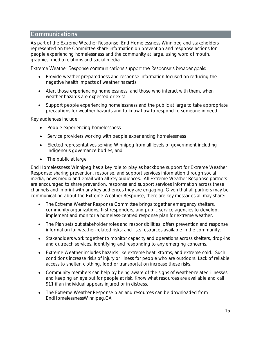## <span id="page-15-0"></span>Communications

As part of the Extreme Weather Response, End Homelessness Winnipeg and stakeholders represented on the Committee share information on prevention and response actions for people experiencing homelessness and the community at large, using word of mouth, graphics, media relations and social media.

Extreme Weather Response communications support the Response's broader goals:

- Provide weather preparedness and response information focused on reducing the negative health impacts of weather hazards
- Alert those experiencing homelessness, and those who interact with them, when weather hazards are expected or exist
- Support people experiencing homelessness and the public at large to take appropriate precautions for weather hazards and to know how to respond to someone in need.

Key audiences include:

- People experiencing homelessness
- Service providers working with people experiencing homelessness
- Elected representatives serving Winnipeg from all levels of government including Indigenous governance bodies, and
- The public at large

End Homelessness Winnipeg has a key role to play as backbone support for Extreme Weather Response: sharing prevention, response, and support services information through social media, news media and email with all key audiences. All Extreme Weather Response partners are encouraged to share prevention, response and support services information across these channels and in print with any key audiences they are engaging. Given that all partners may be communicating about the Extreme Weather Response, there are key messages all may share:

- The Extreme Weather Response Committee brings together emergency shelters, community organizations, first responders, and public service agencies to develop, implement and monitor a homeless-centred response plan for extreme weather.
- The Plan sets out stakeholder roles and responsibilities; offers prevention and response information for weather-related risks; and lists resources available in the community.
- Stakeholders work together to monitor capacity and operations across shelters, drop-ins and outreach services, identifying and responding to any emerging concerns.
- Extreme Weather includes hazards like extreme heat, storms, and extreme cold. Such conditions increase risks of injury or illness for people who are outdoors. Lack of reliable access to shelter, clothing, food or transportation increase these risks.
- Community members can help by being aware of the signs of weather-related illnesses and keeping an eye out for people at risk. Know what resources are available and call 911 if an individual appears injured or in distress.
- The Extreme Weather Response plan and resources can be downloaded from EndHomelessnessWinnipeg.CA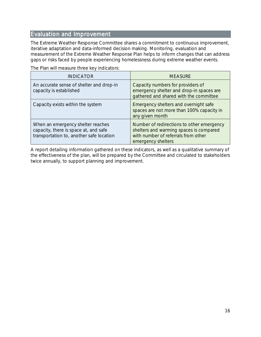## <span id="page-16-0"></span>Evaluation and Improvement

The Extreme Weather Response Committee shares a commitment to continuous improvement, iterative adaptation and data-informed decision making. Monitoring, evaluation and measurement of the Extreme Weather Response Plan helps to inform changes that can address gaps or risks faced by people experiencing homelessness during extreme weather events.

The Plan will measure three key indicators:

| <b>INDICATOR</b>                                                                                                       | <b>MEASURE</b>                                                                                                                                    |
|------------------------------------------------------------------------------------------------------------------------|---------------------------------------------------------------------------------------------------------------------------------------------------|
| An accurate sense of shelter and drop-in<br>capacity is established                                                    | Capacity numbers for providers of<br>emergency shelter and drop-in spaces are<br>gathered and shared with the committee                           |
| Capacity exists within the system                                                                                      | Emergency shelters and overnight safe<br>spaces are not more than 100% capacity in<br>any given month                                             |
| When an emergency shelter reaches<br>capacity, there is space at, and safe<br>transportation to, another safe location | Number of redirections to other emergency<br>shelters and warming spaces is compared<br>with number of referrals from other<br>emergency shelters |

A report detailing information gathered on these indicators, as well as a qualitative summary of the effectiveness of the plan, will be prepared by the Committee and circulated to stakeholders twice annually, to support planning and improvement.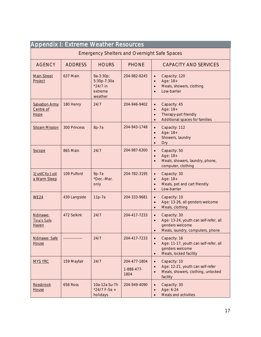<span id="page-17-0"></span>

| <b>Appendix I: Extreme Weather Resources</b>        |                |                                                            |                                    |                                                                                                                                           |
|-----------------------------------------------------|----------------|------------------------------------------------------------|------------------------------------|-------------------------------------------------------------------------------------------------------------------------------------------|
| <b>Emergency Shelters and Overnight Safe Spaces</b> |                |                                                            |                                    |                                                                                                                                           |
| <b>AGENCY</b>                                       | <b>ADDRESS</b> | <b>HOURS</b>                                               | <b>PHONE</b>                       | <b>CAPACITY AND SERVICES</b>                                                                                                              |
| <b>Main Street</b><br>Project                       | 637 Main       | 9a-3:30p;<br>5:30p-7:30a<br>*24/7 in<br>extreme<br>weather | 204-982-8245                       | Capacity: 120<br>$\bullet$<br>Age: 18+<br>$\bullet$<br>Meals, showers, clothing<br>$\bullet$<br>Low-barrier                               |
| <b>Salvation Army</b><br>Centre of<br>Hope          | 180 Henry      | 24/7                                                       | 204-946-9402                       | Capacity: 45<br>$\bullet$<br>Age: 18+<br>$\bullet$<br>Therapy-pet friendly<br>$\bullet$<br>Additional spaces for families<br>$\bullet$    |
| <b>Siloam Mission</b>                               | 300 Princess   | 8p-7a                                                      | 204-943-1748                       | Capacity: 112<br>$\bullet$<br>Age: 18+<br>$\bullet$<br>Showers, laundry<br>$\bullet$<br>Dry<br>$\bullet$                                  |
| <b>Sscope</b>                                       | 865 Main       | 24/7                                                       | 204-987-6300                       | Capacity: 50<br>$\bullet$<br>Age: 18+<br>$\bullet$<br>Meals, showers, laundry, phone,<br>$\bullet$<br>computer, clothing                  |
| 1JustCity Just<br>a Warm Sleep                      | 109 Pulford    | $9p-7a$<br>*Dec.-Mar.<br>only                              | 204-782-3195                       | Capacity: 30<br>$\bullet$<br>Age: 18+<br>$\bullet$<br>Meals, pet and cart friendly<br>$\bullet$<br>Low-barrier<br>$\bullet$               |
| <b>WE24</b>                                         | 430 Langside   | 11p-7a                                                     | 204-333-9681                       | Capacity: 10<br>$\bullet$<br>Age: 13-26, all genders welcome<br>$\bullet$<br>Meals, clothing<br>$\bullet$                                 |
| Ndinawe:<br>Tina's Safe<br>Haven                    | 472 Selkirk    | 24/7                                                       | 204-417-7233                       | Capacity: 30<br>$\bullet$<br>Age: 13-24, youth can self-refer, all<br>$\bullet$<br>genders welcome<br>Meals, laundry, computers, phone    |
| Ndinawe: Safe<br>House                              |                | 24/7                                                       | 204-417-7233                       | Capacity: 16<br>$\bullet$<br>Age: 11-17, youth can self-refer, all<br>$\bullet$<br>genders welcome<br>Meals, locked facility<br>$\bullet$ |
| <b>MYS YRC</b>                                      | 159 Mayfair    | 24/7                                                       | 204-477-1804<br>1-888-477-<br>1804 | Capacity: 10<br>$\bullet$<br>Age: 12-21, youth can self-refer<br>$\bullet$<br>Meals, showers, clothing, unlocked<br>$\bullet$<br>facility |
| <b>Rossbrook</b><br>House                           | 658 Ross       | 10a-12a Su-Th<br>$*24/7$ F-Sa +<br>holidays                | 204-949-4090                       | Capacity: 30<br>$\bullet$<br>Age: 6-24<br>$\bullet$<br>Meals and activities<br>$\bullet$                                                  |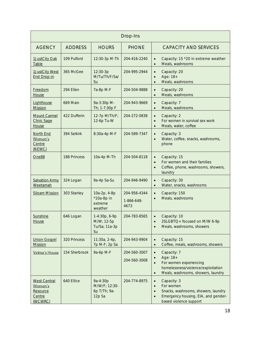|                                                                 |                 |                                                     | Drop-Ins                           |                                                                                                                                                                                      |
|-----------------------------------------------------------------|-----------------|-----------------------------------------------------|------------------------------------|--------------------------------------------------------------------------------------------------------------------------------------------------------------------------------------|
| <b>AGENCY</b>                                                   | <b>ADDRESS</b>  | <b>HOURS</b>                                        | <b>PHONE</b>                       | <b>CAPACITY AND SERVICES</b>                                                                                                                                                         |
| 1JustCity Oak<br>Table                                          | 109 Pulford     | 12:30-3p M-Th                                       | 204-416-2240                       | Capacity: 15 *20 in extreme weather<br>$\bullet$<br>Meals, washrooms<br>$\bullet$                                                                                                    |
| 1JustCity West<br><b>End Drop-in</b>                            | 365 McGee       | 12:30-3p<br>M/Tu/Th/F/Sa/<br>Su                     | 204-995-2944                       | Capacity: 20<br>$\bullet$<br>Age: 18+<br>$\bullet$<br>Meals, washrooms<br>$\bullet$                                                                                                  |
| Freedom<br>House                                                | 294 Ellen       | 7a-8p M-F                                           | 204-504-9888                       | Capacity: 20<br>$\bullet$<br>Meals, washrooms<br>$\bullet$                                                                                                                           |
| Lighthouse<br><b>Mission</b>                                    | <b>669 Main</b> | 9a-3:30p M-<br>Th; 1-7:30p F                        | 204-943-9669                       | Capacity: 7<br>$\bullet$<br>Meals, washrooms<br>$\bullet$                                                                                                                            |
| <b>Mount Carmel</b><br><b>Clinic Sage</b><br>House              | 422 Dufferin    | 12-7p M/Th/F;<br>12-6p Tu-W                         | 204-272-0838                       | Capacity: 2<br>$\bullet$<br>For women in survival sex work<br>$\bullet$<br>Meals, water, coffee<br>$\bullet$                                                                         |
| North End<br>Women's<br>Centre<br>(NEWC)                        | 394 Selkirk     | 8:30a-4p M-F                                        | 204-589-7347                       | Capacity: 3<br>$\bullet$<br>Water, coffee, snacks, washrooms,<br>$\bullet$<br>phone                                                                                                  |
| One88                                                           | 188 Princess    | 10a-4p M-Th                                         | 204-504-8118                       | Capacity: 15<br>$\bullet$<br>For women and their families<br>$\bullet$<br>Coffee, phone, washrooms, showers,<br>$\bullet$<br>laundry                                                 |
| <b>Salvation Army</b><br>Weetamah                               | 324 Logan       | 9a-4p Sa-Su                                         | 204-946-9490                       | Capacity: 30<br>$\bullet$<br>Water, snacks, washrooms<br>$\bullet$                                                                                                                   |
| <b>Siloam Mission</b>                                           | 303 Stanley     | 10a-2p, 4-8p<br>*10a-8p in<br>extreme<br>weather    | 204-956-4344<br>1-866-648-<br>4673 | Capacity: 150<br>$\bullet$<br>Meals, washrooms<br>$\bullet$                                                                                                                          |
| <b>Sunshine</b><br><u>House</u>                                 | 646 Logan       | 1-4:30p, 6-9p<br>M/W; 12-5p<br>Tu/Sa; 11a-3p<br>Su  | 204-783-8565                       | Capacity: 10<br>$\bullet$<br>2SLGBTQ+ focused on M/W 6-9p<br>Meals, washrooms, showers                                                                                               |
| <b>Union Gospel</b><br><b>Mission</b>                           | 320 Princess    | 11:30a, 2-4p,<br>7p M-F; 2p Sa                      | 204-943-9904                       | Capacity: 15<br>$\bullet$<br>Coffee, meals, washrooms, showers<br>$\bullet$                                                                                                          |
| Velma's House                                                   | 154 Sherbrook   | 9a-6p M-F                                           | 204-560-3007<br>204-560-3008       | Capacity: 7<br>$\bullet$<br>Age: 18+<br>$\bullet$<br>For women experiencing<br>$\bullet$<br>homelessness/violence/exploitation<br>Meals, washrooms, showers, laundry<br>$\bullet$    |
| <b>West Central</b><br>Women's<br>Resource<br>Centre<br>(WCWRC) | 640 Ellice      | 9a-4:30p<br>M/W/F; 12:30-<br>6p T/Th; 9a-<br>12p Sa | 204-774-8975                       | Capacity: 3<br>$\bullet$<br>For women<br>$\bullet$<br>Snacks, washrooms, showers, laundry<br>$\bullet$<br>Emergency housing, EIA, and gender-<br>$\bullet$<br>based violence support |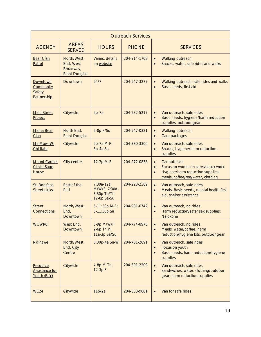|                                                  | <b>Outreach Services</b>                              |                                                             |              |                                                                                                                                                                     |  |  |
|--------------------------------------------------|-------------------------------------------------------|-------------------------------------------------------------|--------------|---------------------------------------------------------------------------------------------------------------------------------------------------------------------|--|--|
| <b>AGENCY</b>                                    | <b>AREAS</b><br><b>SERVED</b>                         | <b>HOURS</b>                                                | <b>PHONE</b> | <b>SERVICES</b>                                                                                                                                                     |  |  |
| <b>Bear Clan</b><br>Patrol                       | North/West<br>End, West<br>Broadway,<br>Point Douglas | Varies: details<br>on website                               | 204-914-1708 | Walking outreach<br>$\bullet$<br>Snacks, water, safe rides and walks<br>$\bullet$                                                                                   |  |  |
| Downtown<br>Community<br>Safety<br>Partnership   | Downtown                                              | 24/7                                                        | 204-947-3277 | Walking outreach, safe rides and walks<br>$\bullet$<br>Basic needs, first aid<br>$\bullet$                                                                          |  |  |
| <b>Main Street</b><br>Project                    | Citywide                                              | $5p-7a$                                                     | 204-232-5217 | Van outreach, safe rides<br>$\bullet$<br>Basic needs, hygiene/harm reduction<br>$\bullet$<br>supplies, outdoor gear                                                 |  |  |
| Mama Bear<br>Clan                                | North End,<br>Point Douglas                           | 6-8p F/Su                                                   | 204-947-0321 | Walking outreach<br>$\bullet$<br>Care packages<br>$\bullet$                                                                                                         |  |  |
| Ma Mawi Wi<br>Chi Itata                          | Citywide                                              | 9p-7a M-F;<br>6p-4a Sa                                      | 204-330-3300 | Van outreach, safe rides<br>$\bullet$<br>Snacks, hygiene/harm reduction<br>$\bullet$<br>supplies                                                                    |  |  |
| <b>Mount Carmel</b><br>Clinic: Sage<br>House     | City centre                                           | 12-7p M-F                                                   | 204-272-0838 | Car outreach<br>$\bullet$<br>Focus on women in survival sex work<br>$\bullet$<br>Hygiene/harm reduction supplies,<br>$\bullet$<br>meals, coffee/tea/water, clothing |  |  |
| St. Boniface<br><b>Street Links</b>              | <b>Fast of the</b><br>Red                             | $7:30a-12a$<br>M/W/F; 7:30a-<br>3:30p Tu/Th;<br>12-8p Sa-Su | 204-228-2369 | Van outreach, safe rides<br>$\bullet$<br>Meals, Basic needs, mental health first<br>$\bullet$<br>aid, shelter assistance                                            |  |  |
| <b>Street</b><br>Connections                     | North/West<br>End.<br>Downtown                        | 6-11:30p M-F;<br>5-11:30p Sa                                | 204-981-0742 | Van outreach, no rides<br>$\bullet$<br>Harm reduction/safer sex supplies;<br>$\bullet$<br>Naloxone                                                                  |  |  |
| <b>WCWRC</b>                                     | West End,<br>Downtown                                 | 5-9p M/W/F;<br>$2-6p$ T/Th;<br>11a-3p Sa/Su                 | 204-774-8975 | Van outreach, no rides<br>$\bullet$<br>Meals, water/coffee; harm<br>$\bullet$<br>reduction/hygiene kits, outdoor gear                                               |  |  |
| <b>Ndinawe</b>                                   | North/West<br>End, City<br>Centre                     | 6:30p-4a Su-W                                               | 204-781-2691 | Van outreach, safe rides<br>$\bullet$<br>Focus on youth<br>$\bullet$<br>Basic needs, harm reduction/hygiene<br>$\bullet$<br>supplies                                |  |  |
| Resource<br><b>Assistance for</b><br>Youth (RaY) | Citywide                                              | 4-8p M-Th;<br>12-3p F                                       | 204-391-2209 | Van outreach, safe rides<br>$\bullet$<br>Sandwiches, water, clothing/outdoor<br>$\bullet$<br>gear, harm reduction supplies                                          |  |  |
| <b>WE24</b>                                      | Citywide                                              | $11p-2a$                                                    | 204-333-9681 | Van for safe rides<br>$\bullet$                                                                                                                                     |  |  |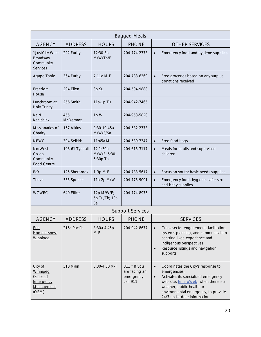|                                                                      | <b>Bagged Meals</b> |                                      |                                                         |                                                                                                                                                                                                                                                                        |  |  |
|----------------------------------------------------------------------|---------------------|--------------------------------------|---------------------------------------------------------|------------------------------------------------------------------------------------------------------------------------------------------------------------------------------------------------------------------------------------------------------------------------|--|--|
| <b>AGENCY</b>                                                        | <b>ADDRESS</b>      | <b>HOURS</b>                         | <b>PHONE</b>                                            | <b>OTHER SERVICES</b>                                                                                                                                                                                                                                                  |  |  |
| 1JustCity West<br>Broadway<br>Community<br>Services                  | 222 Furby           | 12:30-3p<br>M/W/Th/F                 | 204-774-2773                                            | Emergency food and hygiene supplies<br>$\bullet$                                                                                                                                                                                                                       |  |  |
| Agape Table                                                          | 364 Furby           | 7-11a M-F                            | 204-783-6369                                            | Free groceries based on any surplus<br>$\bullet$<br>donations received                                                                                                                                                                                                 |  |  |
| Freedom<br>House                                                     | 294 Ellen           | 3p Su                                | 204-504-9888                                            |                                                                                                                                                                                                                                                                        |  |  |
| Lunchroom at<br><b>Holy Trinity</b>                                  | 256 Smith           | 11a-1p Tu                            | 204-942-7465                                            |                                                                                                                                                                                                                                                                        |  |  |
| Ka Ni<br>Kanichihk                                                   | 455<br>McDermot     | 1pW                                  | 204-953-5820                                            |                                                                                                                                                                                                                                                                        |  |  |
| Missionaries of<br>Charity                                           | 167 Aikins          | $9:30-10:45a$<br>M/W/F/Sa            | 204-582-2773                                            |                                                                                                                                                                                                                                                                        |  |  |
| <b>NEWC</b>                                                          | 394 Selkirk         | 11:45a M                             | 204-589-7347                                            | Free food bags<br>$\bullet$                                                                                                                                                                                                                                            |  |  |
| <b>NorWest</b><br>Co-op<br>Community<br>Food Centre                  | 103-61 Tyndall      | 12-1:30p<br>M/W/F; 5:30-<br>6:30p Th | 204-615-3117                                            | Meals for adults and supervised<br>$\bullet$<br>children                                                                                                                                                                                                               |  |  |
| RaY                                                                  | 125 Sherbrook       | 1-3p M-F                             | 204-783-5617                                            | Focus on youth; basic needs supplies<br>$\bullet$                                                                                                                                                                                                                      |  |  |
| Thrive                                                               | 555 Spence          | 11a-2p M/W                           | 204-775-9091                                            | Emergency food, hygiene, safer sex<br>$\bullet$<br>and baby supplies                                                                                                                                                                                                   |  |  |
| <b>WCWRC</b>                                                         | 640 Ellice          | 12p M/W/F;<br>5p Tu/Th; 10a<br>Sa    | 204-774-8975                                            |                                                                                                                                                                                                                                                                        |  |  |
|                                                                      |                     |                                      | <b>Support Services</b>                                 |                                                                                                                                                                                                                                                                        |  |  |
| <b>AGENCY</b>                                                        | <b>ADDRESS</b>      | <b>HOURS</b>                         | <b>PHONE</b>                                            | <b>SERVICES</b>                                                                                                                                                                                                                                                        |  |  |
| End<br>Homelessness<br>Winnipeg                                      | 216c Pacific        | 8:30a-4:45p<br>$M-F$                 | 204-942-8677                                            | Cross-sector engagement, facilitation,<br>$\bullet$<br>systems planning, and communication<br>centring lived experience and<br>Indigenous perspectives<br>Resource listings and navigation<br>$\bullet$<br>supports                                                    |  |  |
| City of<br>Winnipeg<br>Office of<br>Emergency<br>Management<br>(OEM) | 510 Main            | 8:30-4:30 M-F                        | 311 * If you<br>are facing an<br>emergency,<br>call 911 | Coordinates the City's response to<br>$\bullet$<br>emergencies.<br>Activates its specialized emergency<br>$\bullet$<br>web site, <i>EmergWeb</i> , when there is a<br>weather, public health or<br>environmental emergency, to provide<br>24/7 up-to-date information. |  |  |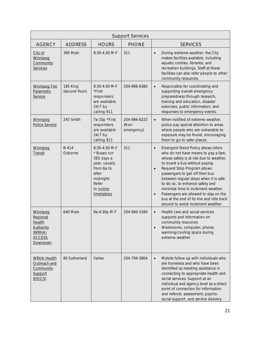| <b>Support Services</b>                                                                          |                            |                                                                                                                                     |                                     |                                                                                                                                                                                                                                                                                                                                                                                                                                                                                                                |  |  |
|--------------------------------------------------------------------------------------------------|----------------------------|-------------------------------------------------------------------------------------------------------------------------------------|-------------------------------------|----------------------------------------------------------------------------------------------------------------------------------------------------------------------------------------------------------------------------------------------------------------------------------------------------------------------------------------------------------------------------------------------------------------------------------------------------------------------------------------------------------------|--|--|
| <b>AGENCY</b>                                                                                    | <b>ADDRESS</b>             | <b>HOURS</b>                                                                                                                        | <b>PHONE</b>                        | <b>SERVICES</b>                                                                                                                                                                                                                                                                                                                                                                                                                                                                                                |  |  |
| City of<br>Winnipeg<br>Community<br>Services                                                     | 395 Main                   | 8:30-4:30 M-F                                                                                                                       | 311                                 | During extreme weather, the City<br>$\bullet$<br>makes facilities available, including<br>aquatic centres, libraries, and<br>recreation buildings. Staff at these<br>facilities can also refer people to other<br>community resources.                                                                                                                                                                                                                                                                         |  |  |
| <b>Winnipeg Fire</b><br>Paramedic<br>Service                                                     | 185 King<br>(second floor) | 8:30-4:30 M-F<br>*First<br>responders<br>are available<br>24/7 by<br>calling 911                                                    | 204-986-6380                        | Responsible for coordinating and<br>$\bullet$<br>supporting overall emergency<br>preparedness through research,<br>training and education, disaster<br>exercises, public information, and<br>responses to emergency events.                                                                                                                                                                                                                                                                                    |  |  |
| Winnipeg<br>Police Service                                                                       | 245 Smith                  | 7a-10p *First<br>responders<br>are available<br>24/7 by<br>calling 911                                                              | 204-986-6222<br>(Non-<br>emergency) | When notified of extreme weather,<br>$\bullet$<br>police pay special attention to areas<br>where people who are vulnerable to<br>exposure may be found, encouraging<br>them to go to safer places.                                                                                                                                                                                                                                                                                                             |  |  |
| Winnipeg<br>Transit                                                                              | <b>B-414</b><br>Osborne    | 8:30-4:30 M-F<br>* Buses run<br>365 days a<br>year, usually<br>from 6a to<br>after<br>midnight.<br>Refer<br>to online<br>timetables | 311                                 | Emergent Need Policy allows riders<br>$\bullet$<br>who do not have means to pay a fare,<br>whose safety is at risk due to weather,<br>to board a bus without paying.<br>Request Stop Program allows<br>$\bullet$<br>passengers to get off their bus<br>between regular stops when it is safe<br>to do so, to enhance safety and<br>minimize time in inclement weather.<br>Passengers are allowed to stay on the<br>$\bullet$<br>bus at the end of its line and ride back<br>around to avoid inclement weather. |  |  |
| Winnipeg<br>Regional<br>Health<br><b>Authority</b><br>(WRHA)<br><b>ACCESS</b><br><b>Downtown</b> | 640 Main                   | 9a-4:30p M-F                                                                                                                        | 204-940-3160                        | Health care and social services<br>$\bullet$<br>supports and information on<br>community resources<br>Washrooms, computer, phone;<br>$\bullet$<br>warming/cooling space during<br>extreme weather                                                                                                                                                                                                                                                                                                              |  |  |
| <b>WRHA Health</b><br>Outreach and<br>Community<br>Support<br>(HOCS)                             | 80 Sutherland              | Varies                                                                                                                              | 204-794-3804                        | Mobile follow up with individuals who<br>$\bullet$<br>are homeless and who have been<br>identified as needing assistance in<br>connecting to appropriate health and<br>social services. Support at an<br>individual and agency level as a direct<br>point of connection for information<br>and referral, assessment, psycho-<br>social support, and service delivery.                                                                                                                                          |  |  |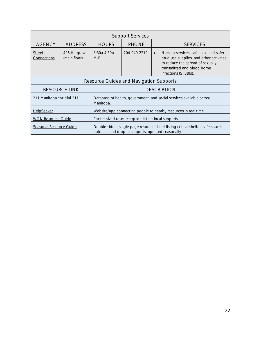| <b>Support Services</b>                                                         |                                                                |                      |                                                   |                                                                                                                                                                                           |  |
|---------------------------------------------------------------------------------|----------------------------------------------------------------|----------------------|---------------------------------------------------|-------------------------------------------------------------------------------------------------------------------------------------------------------------------------------------------|--|
| <b>AGENCY</b>                                                                   | <b>ADDRESS</b>                                                 | <b>HOURS</b>         | <b>PHONE</b>                                      | <b>SERVICES</b>                                                                                                                                                                           |  |
| <b>Street</b><br>Connections                                                    | 496 Hargrave<br>(main floor)                                   | 8:30a-4:30p<br>$M-F$ | 204-940-2210                                      | Nursing services, safer sex, and safer<br>$\bullet$<br>drug use supplies, and other activities<br>to reduce the spread of sexually<br>transmitted and blood borne<br>infections (STBBIs). |  |
|                                                                                 | Resource Guides and Navigation Supports                        |                      |                                                   |                                                                                                                                                                                           |  |
|                                                                                 | <b>RESOURCE LINK</b>                                           |                      | <b>DESCRIPTION</b>                                |                                                                                                                                                                                           |  |
| 211 Manitoba *or dial 211                                                       |                                                                | Manitoba.            |                                                   | Database of health, government, and social services available across                                                                                                                      |  |
| HelpSeeker                                                                      | Website/app connecting people to nearby resources in real time |                      |                                                   |                                                                                                                                                                                           |  |
| Pocket-sized resource guide listing local supports<br><b>WON Resource Guide</b> |                                                                |                      |                                                   |                                                                                                                                                                                           |  |
| Seasonal Resource Guide                                                         |                                                                |                      | outreach and drop-in supports, updated seasonally | Double-sided, single page resource sheet listing critical shelter, safe space,                                                                                                            |  |